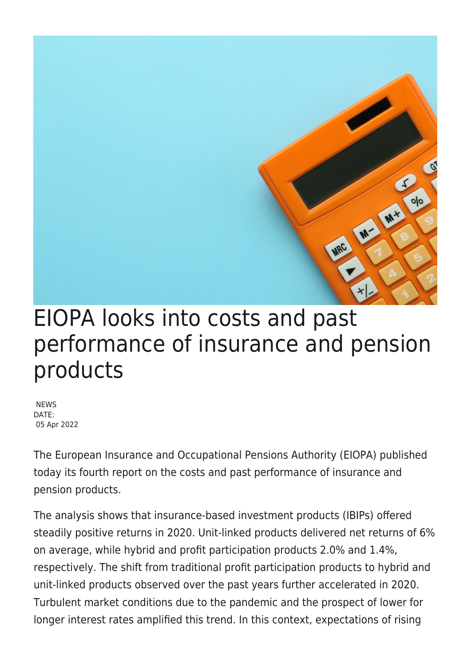

 $o|o$ 

M+

M

MAC

**NEWS** DATE: 05 Apr 2022

The European Insurance and Occupational Pensions Authority (EIOPA) published today its fourth report on the costs and past performance of insurance and pension products.

The analysis shows that insurance-based investment products (IBIPs) offered steadily positive returns in 2020. Unit-linked products delivered net returns of 6% on average, while hybrid and profit participation products 2.0% and 1.4%, respectively. The shift from traditional profit participation products to hybrid and unit-linked products observed over the past years further accelerated in 2020. Turbulent market conditions due to the pandemic and the prospect of lower for longer interest rates amplified this trend. In this context, expectations of rising